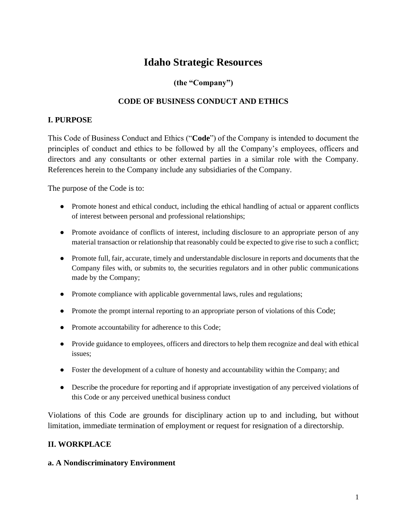# **Idaho Strategic Resources**

### **(the "Company")**

### **CODE OF BUSINESS CONDUCT AND ETHICS**

#### **I. PURPOSE**

This Code of Business Conduct and Ethics ("**Code**") of the Company is intended to document the principles of conduct and ethics to be followed by all the Company's employees, officers and directors and any consultants or other external parties in a similar role with the Company. References herein to the Company include any subsidiaries of the Company.

The purpose of the Code is to:

- Promote honest and ethical conduct, including the ethical handling of actual or apparent conflicts of interest between personal and professional relationships;
- Promote avoidance of conflicts of interest, including disclosure to an appropriate person of any material transaction or relationship that reasonably could be expected to give rise to such a conflict;
- Promote full, fair, accurate, timely and understandable disclosure in reports and documents that the Company files with, or submits to, the securities regulators and in other public communications made by the Company;
- Promote compliance with applicable governmental laws, rules and regulations;
- Promote the prompt internal reporting to an appropriate person of violations of this Code;
- Promote accountability for adherence to this Code;
- Provide guidance to employees, officers and directors to help them recognize and deal with ethical issues;
- Foster the development of a culture of honesty and accountability within the Company; and
- Describe the procedure for reporting and if appropriate investigation of any perceived violations of this Code or any perceived unethical business conduct

Violations of this Code are grounds for disciplinary action up to and including, but without limitation, immediate termination of employment or request for resignation of a directorship.

#### **II. WORKPLACE**

#### **a. A Nondiscriminatory Environment**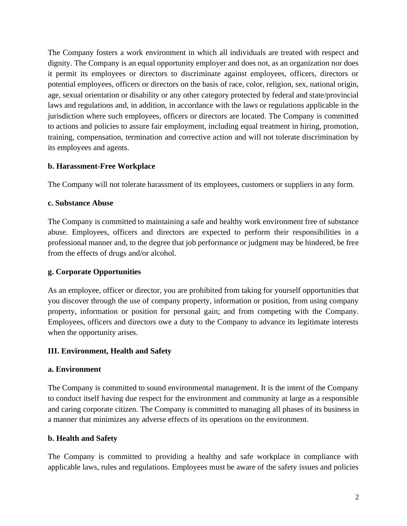The Company fosters a work environment in which all individuals are treated with respect and dignity. The Company is an equal opportunity employer and does not, as an organization nor does it permit its employees or directors to discriminate against employees, officers, directors or potential employees, officers or directors on the basis of race, color, religion, sex, national origin, age, sexual orientation or disability or any other category protected by federal and state/provincial laws and regulations and, in addition, in accordance with the laws or regulations applicable in the jurisdiction where such employees, officers or directors are located. The Company is committed to actions and policies to assure fair employment, including equal treatment in hiring, promotion, training, compensation, termination and corrective action and will not tolerate discrimination by its employees and agents.

### **b. Harassment-Free Workplace**

The Company will not tolerate harassment of its employees, customers or suppliers in any form.

### **c. Substance Abuse**

The Company is committed to maintaining a safe and healthy work environment free of substance abuse. Employees, officers and directors are expected to perform their responsibilities in a professional manner and, to the degree that job performance or judgment may be hindered, be free from the effects of drugs and/or alcohol.

### **g. Corporate Opportunities**

As an employee, officer or director, you are prohibited from taking for yourself opportunities that you discover through the use of company property, information or position, from using company property, information or position for personal gain; and from competing with the Company. Employees, officers and directors owe a duty to the Company to advance its legitimate interests when the opportunity arises.

### **III. Environment, Health and Safety**

#### **a. Environment**

The Company is committed to sound environmental management. It is the intent of the Company to conduct itself having due respect for the environment and community at large as a responsible and caring corporate citizen. The Company is committed to managing all phases of its business in a manner that minimizes any adverse effects of its operations on the environment.

### **b. Health and Safety**

The Company is committed to providing a healthy and safe workplace in compliance with applicable laws, rules and regulations. Employees must be aware of the safety issues and policies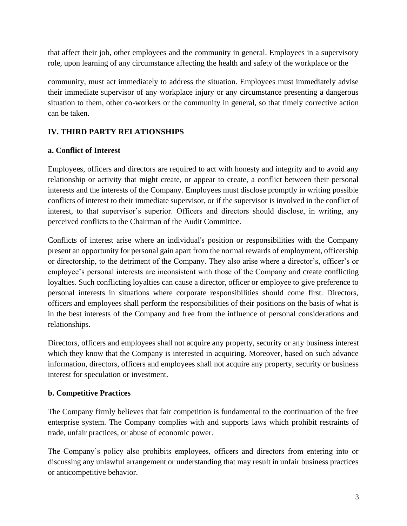that affect their job, other employees and the community in general. Employees in a supervisory role, upon learning of any circumstance affecting the health and safety of the workplace or the

community, must act immediately to address the situation. Employees must immediately advise their immediate supervisor of any workplace injury or any circumstance presenting a dangerous situation to them, other co-workers or the community in general, so that timely corrective action can be taken.

### **IV. THIRD PARTY RELATIONSHIPS**

### **a. Conflict of Interest**

Employees, officers and directors are required to act with honesty and integrity and to avoid any relationship or activity that might create, or appear to create, a conflict between their personal interests and the interests of the Company. Employees must disclose promptly in writing possible conflicts of interest to their immediate supervisor, or if the supervisor is involved in the conflict of interest, to that supervisor's superior. Officers and directors should disclose, in writing, any perceived conflicts to the Chairman of the Audit Committee.

Conflicts of interest arise where an individual's position or responsibilities with the Company present an opportunity for personal gain apart from the normal rewards of employment, officership or directorship, to the detriment of the Company. They also arise where a director's, officer's or employee's personal interests are inconsistent with those of the Company and create conflicting loyalties. Such conflicting loyalties can cause a director, officer or employee to give preference to personal interests in situations where corporate responsibilities should come first. Directors, officers and employees shall perform the responsibilities of their positions on the basis of what is in the best interests of the Company and free from the influence of personal considerations and relationships.

Directors, officers and employees shall not acquire any property, security or any business interest which they know that the Company is interested in acquiring. Moreover, based on such advance information, directors, officers and employees shall not acquire any property, security or business interest for speculation or investment.

### **b. Competitive Practices**

The Company firmly believes that fair competition is fundamental to the continuation of the free enterprise system. The Company complies with and supports laws which prohibit restraints of trade, unfair practices, or abuse of economic power.

The Company's policy also prohibits employees, officers and directors from entering into or discussing any unlawful arrangement or understanding that may result in unfair business practices or anticompetitive behavior.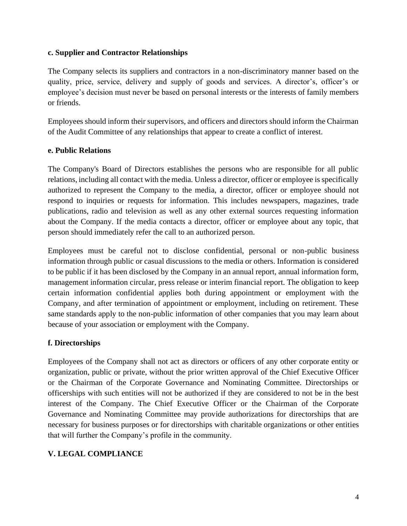#### **c. Supplier and Contractor Relationships**

The Company selects its suppliers and contractors in a non-discriminatory manner based on the quality, price, service, delivery and supply of goods and services. A director's, officer's or employee's decision must never be based on personal interests or the interests of family members or friends.

Employees should inform their supervisors, and officers and directors should inform the Chairman of the Audit Committee of any relationships that appear to create a conflict of interest.

#### **e. Public Relations**

The Company's Board of Directors establishes the persons who are responsible for all public relations, including all contact with the media. Unless a director, officer or employee is specifically authorized to represent the Company to the media, a director, officer or employee should not respond to inquiries or requests for information. This includes newspapers, magazines, trade publications, radio and television as well as any other external sources requesting information about the Company. If the media contacts a director, officer or employee about any topic, that person should immediately refer the call to an authorized person.

Employees must be careful not to disclose confidential, personal or non-public business information through public or casual discussions to the media or others. Information is considered to be public if it has been disclosed by the Company in an annual report, annual information form, management information circular, press release or interim financial report. The obligation to keep certain information confidential applies both during appointment or employment with the Company, and after termination of appointment or employment, including on retirement. These same standards apply to the non-public information of other companies that you may learn about because of your association or employment with the Company.

#### **f. Directorships**

Employees of the Company shall not act as directors or officers of any other corporate entity or organization, public or private, without the prior written approval of the Chief Executive Officer or the Chairman of the Corporate Governance and Nominating Committee. Directorships or officerships with such entities will not be authorized if they are considered to not be in the best interest of the Company. The Chief Executive Officer or the Chairman of the Corporate Governance and Nominating Committee may provide authorizations for directorships that are necessary for business purposes or for directorships with charitable organizations or other entities that will further the Company's profile in the community.

### **V. LEGAL COMPLIANCE**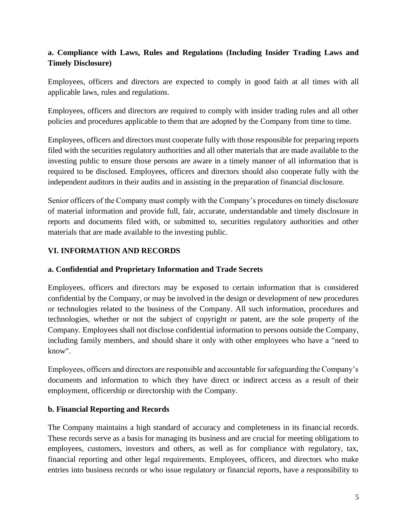### **a. Compliance with Laws, Rules and Regulations (Including Insider Trading Laws and Timely Disclosure)**

Employees, officers and directors are expected to comply in good faith at all times with all applicable laws, rules and regulations.

Employees, officers and directors are required to comply with insider trading rules and all other policies and procedures applicable to them that are adopted by the Company from time to time.

Employees, officers and directors must cooperate fully with those responsible for preparing reports filed with the securities regulatory authorities and all other materials that are made available to the investing public to ensure those persons are aware in a timely manner of all information that is required to be disclosed. Employees, officers and directors should also cooperate fully with the independent auditors in their audits and in assisting in the preparation of financial disclosure.

Senior officers of the Company must comply with the Company's procedures on timely disclosure of material information and provide full, fair, accurate, understandable and timely disclosure in reports and documents filed with, or submitted to, securities regulatory authorities and other materials that are made available to the investing public.

### **VI. INFORMATION AND RECORDS**

#### **a. Confidential and Proprietary Information and Trade Secrets**

Employees, officers and directors may be exposed to certain information that is considered confidential by the Company, or may be involved in the design or development of new procedures or technologies related to the business of the Company. All such information, procedures and technologies, whether or not the subject of copyright or patent, are the sole property of the Company. Employees shall not disclose confidential information to persons outside the Company, including family members, and should share it only with other employees who have a "need to know".

Employees, officers and directors are responsible and accountable for safeguarding the Company's documents and information to which they have direct or indirect access as a result of their employment, officership or directorship with the Company.

#### **b. Financial Reporting and Records**

The Company maintains a high standard of accuracy and completeness in its financial records. These records serve as a basis for managing its business and are crucial for meeting obligations to employees, customers, investors and others, as well as for compliance with regulatory, tax, financial reporting and other legal requirements. Employees, officers, and directors who make entries into business records or who issue regulatory or financial reports, have a responsibility to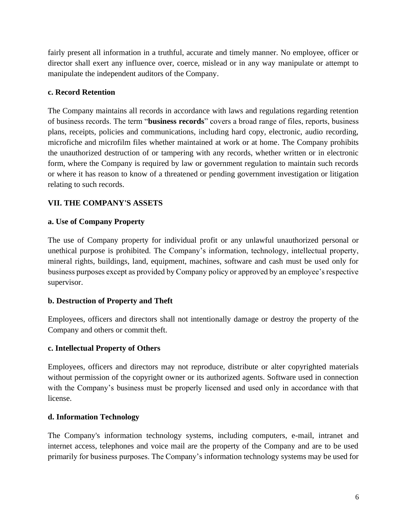fairly present all information in a truthful, accurate and timely manner. No employee, officer or director shall exert any influence over, coerce, mislead or in any way manipulate or attempt to manipulate the independent auditors of the Company.

#### **c. Record Retention**

The Company maintains all records in accordance with laws and regulations regarding retention of business records. The term "**business records**" covers a broad range of files, reports, business plans, receipts, policies and communications, including hard copy, electronic, audio recording, microfiche and microfilm files whether maintained at work or at home. The Company prohibits the unauthorized destruction of or tampering with any records, whether written or in electronic form, where the Company is required by law or government regulation to maintain such records or where it has reason to know of a threatened or pending government investigation or litigation relating to such records.

### **VII. THE COMPANY'S ASSETS**

### **a. Use of Company Property**

The use of Company property for individual profit or any unlawful unauthorized personal or unethical purpose is prohibited. The Company's information, technology, intellectual property, mineral rights, buildings, land, equipment, machines, software and cash must be used only for business purposes except as provided by Company policy or approved by an employee's respective supervisor.

### **b. Destruction of Property and Theft**

Employees, officers and directors shall not intentionally damage or destroy the property of the Company and others or commit theft.

#### **c. Intellectual Property of Others**

Employees, officers and directors may not reproduce, distribute or alter copyrighted materials without permission of the copyright owner or its authorized agents. Software used in connection with the Company's business must be properly licensed and used only in accordance with that license.

#### **d. Information Technology**

The Company's information technology systems, including computers, e-mail, intranet and internet access, telephones and voice mail are the property of the Company and are to be used primarily for business purposes. The Company's information technology systems may be used for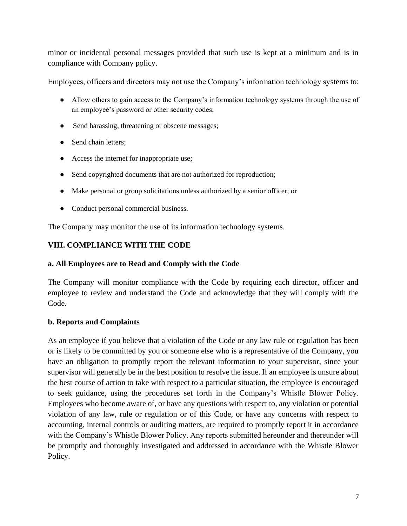minor or incidental personal messages provided that such use is kept at a minimum and is in compliance with Company policy.

Employees, officers and directors may not use the Company's information technology systems to:

- Allow others to gain access to the Company's information technology systems through the use of an employee's password or other security codes;
- Send harassing, threatening or obscene messages;
- Send chain letters:
- Access the internet for inappropriate use;
- Send copyrighted documents that are not authorized for reproduction;
- Make personal or group solicitations unless authorized by a senior officer; or
- Conduct personal commercial business.

The Company may monitor the use of its information technology systems.

### **VIII. COMPLIANCE WITH THE CODE**

### **a. All Employees are to Read and Comply with the Code**

The Company will monitor compliance with the Code by requiring each director, officer and employee to review and understand the Code and acknowledge that they will comply with the Code.

### **b. Reports and Complaints**

As an employee if you believe that a violation of the Code or any law rule or regulation has been or is likely to be committed by you or someone else who is a representative of the Company, you have an obligation to promptly report the relevant information to your supervisor, since your supervisor will generally be in the best position to resolve the issue. If an employee is unsure about the best course of action to take with respect to a particular situation, the employee is encouraged to seek guidance, using the procedures set forth in the Company's Whistle Blower Policy. Employees who become aware of, or have any questions with respect to, any violation or potential violation of any law, rule or regulation or of this Code, or have any concerns with respect to accounting, internal controls or auditing matters, are required to promptly report it in accordance with the Company's Whistle Blower Policy. Any reports submitted hereunder and thereunder will be promptly and thoroughly investigated and addressed in accordance with the Whistle Blower Policy.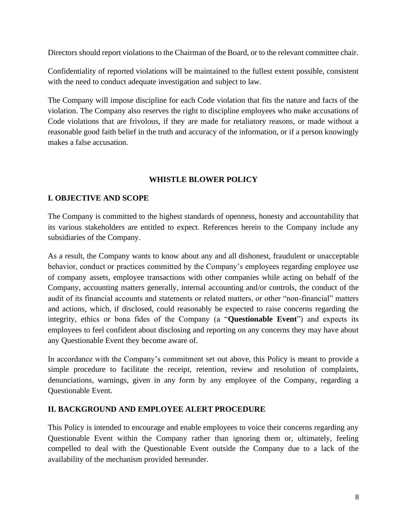Directors should report violations to the Chairman of the Board, or to the relevant committee chair.

Confidentiality of reported violations will be maintained to the fullest extent possible, consistent with the need to conduct adequate investigation and subject to law.

The Company will impose discipline for each Code violation that fits the nature and facts of the violation. The Company also reserves the right to discipline employees who make accusations of Code violations that are frivolous, if they are made for retaliatory reasons, or made without a reasonable good faith belief in the truth and accuracy of the information, or if a person knowingly makes a false accusation.

### **WHISTLE BLOWER POLICY**

### **I. OBJECTIVE AND SCOPE**

The Company is committed to the highest standards of openness, honesty and accountability that its various stakeholders are entitled to expect. References herein to the Company include any subsidiaries of the Company.

As a result, the Company wants to know about any and all dishonest, fraudulent or unacceptable behavior, conduct or practices committed by the Company's employees regarding employee use of company assets, employee transactions with other companies while acting on behalf of the Company, accounting matters generally, internal accounting and/or controls, the conduct of the audit of its financial accounts and statements or related matters, or other "non-financial" matters and actions, which, if disclosed, could reasonably be expected to raise concerns regarding the integrity, ethics or bona fides of the Company (a "**Questionable Event**") and expects its employees to feel confident about disclosing and reporting on any concerns they may have about any Questionable Event they become aware of.

In accordance with the Company's commitment set out above, this Policy is meant to provide a simple procedure to facilitate the receipt, retention, review and resolution of complaints, denunciations, warnings, given in any form by any employee of the Company, regarding a Questionable Event.

#### **II. BACKGROUND AND EMPLOYEE ALERT PROCEDURE**

This Policy is intended to encourage and enable employees to voice their concerns regarding any Questionable Event within the Company rather than ignoring them or, ultimately, feeling compelled to deal with the Questionable Event outside the Company due to a lack of the availability of the mechanism provided hereunder.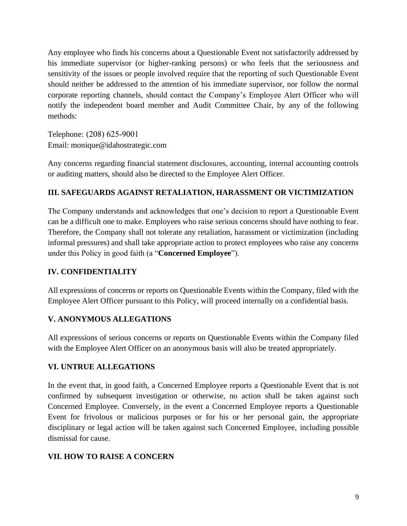Any employee who finds his concerns about a Questionable Event not satisfactorily addressed by his immediate supervisor (or higher-ranking persons) or who feels that the seriousness and sensitivity of the issues or people involved require that the reporting of such Questionable Event should neither be addressed to the attention of his immediate supervisor, nor follow the normal corporate reporting channels, should contact the Company's Employee Alert Officer who will notify the independent board member and Audit Committee Chair, by any of the following methods:

Telephone: (208) 625-9001 Email: monique@idahostrategic.com

Any concerns regarding financial statement disclosures, accounting, internal accounting controls or auditing matters, should also be directed to the Employee Alert Officer.

### **III. SAFEGUARDS AGAINST RETALIATION, HARASSMENT OR VICTIMIZATION**

The Company understands and acknowledges that one's decision to report a Questionable Event can be a difficult one to make. Employees who raise serious concerns should have nothing to fear. Therefore, the Company shall not tolerate any retaliation, harassment or victimization (including informal pressures) and shall take appropriate action to protect employees who raise any concerns under this Policy in good faith (a "**Concerned Employee**").

### **IV. CONFIDENTIALITY**

All expressions of concerns or reports on Questionable Events within the Company, filed with the Employee Alert Officer pursuant to this Policy, will proceed internally on a confidential basis.

### **V. ANONYMOUS ALLEGATIONS**

All expressions of serious concerns or reports on Questionable Events within the Company filed with the Employee Alert Officer on an anonymous basis will also be treated appropriately.

#### **VI. UNTRUE ALLEGATIONS**

In the event that, in good faith, a Concerned Employee reports a Questionable Event that is not confirmed by subsequent investigation or otherwise, no action shall be taken against such Concerned Employee. Conversely, in the event a Concerned Employee reports a Questionable Event for frivolous or malicious purposes or for his or her personal gain, the appropriate disciplinary or legal action will be taken against such Concerned Employee, including possible dismissal for cause.

### **VII. HOW TO RAISE A CONCERN**